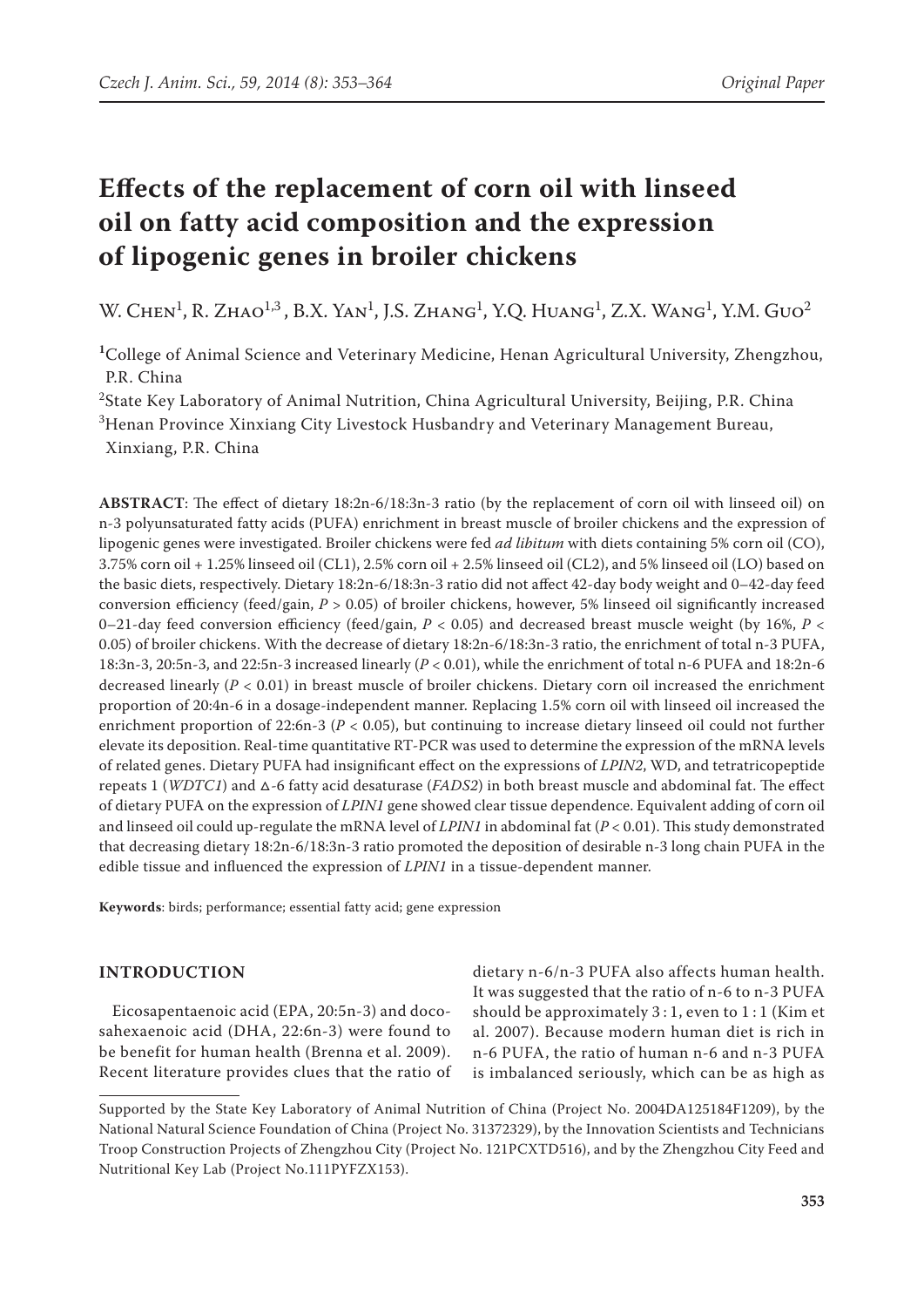# **Effects of the replacement of corn oil with linseed oil on fatty acid composition and the expression of lipogenic genes in broiler chickens**

W. Chen<sup>1</sup>, R. Zhao<sup>1,3</sup>, B.X. Yan<sup>1</sup>, J.S. Zhang<sup>1</sup>, Y.Q. Huang<sup>1</sup>, Z.X. Wang<sup>1</sup>, Y.M. Guo<sup>2</sup>

**<sup>1</sup>**College of Animal Science and Veterinary Medicine, Henan Agricultural University, Zhengzhou, P.R. China

 $^2$ State Key Laboratory of Animal Nutrition, China Agricultural University, Beijing, P.R. China

 ${}^{3}$ Henan Province Xinxiang City Livestock Husbandry and Veterinary Management Bureau, Xinxiang, P.R. China

**ABSTRACT**: The effect of dietary 18:2n-6/18:3n-3 ratio (by the replacement of corn oil with linseed oil) on n-3 polyunsaturated fatty acids (PUFA) enrichment in breast muscle of broiler chickens and the expression of lipogenic genes were investigated. Broiler chickens were fed *ad libitum* with diets containing 5% corn oil (CO), 3.75% corn oil + 1.25% linseed oil (CL1), 2.5% corn oil + 2.5% linseed oil (CL2), and 5% linseed oil (LO) based on the basic diets, respectively. Dietary 18:2n-6/18:3n-3 ratio did not affect 42-day body weight and 0–42-day feed conversion efficiency (feed/gain, *P* > 0.05) of broiler chickens, however, 5% linseed oil significantly increased 0–21-day feed conversion efficiency (feed/gain, *P* < 0.05) and decreased breast muscle weight (by 16%, *P* < 0.05) of broiler chickens. With the decrease of dietary 18:2n-6/18:3n-3 ratio, the enrichment of total n-3 PUFA, 18:3n-3, 20:5n-3, and 22:5n-3 increased linearly (*P* < 0.01), while the enrichment of total n-6 PUFA and 18:2n-6 decreased linearly (*P* < 0.01) in breast muscle of broiler chickens. Dietary corn oil increased the enrichment proportion of 20:4n-6 in a dosage-independent manner. Replacing 1.5% corn oil with linseed oil increased the enrichment proportion of 22:6n-3 (*P* < 0.05), but continuing to increase dietary linseed oil could not further elevate its deposition. Real-time quantitative RT-PCR was used to determine the expression of the mRNA levels of related genes. Dietary PUFA had insignificant effect on the expressions of *LPIN2*, WD, and tetratricopeptide repeats 1 (*WDTC1*) and △-6 fatty acid desaturase (*FADS2*) in both breast muscle and abdominal fat. The effect of dietary PUFA on the expression of *LPIN1* gene showed clear tissue dependence. Equivalent adding of corn oil and linseed oil could up-regulate the mRNA level of *LPIN1* in abdominal fat (*P* < 0.01). This study demonstrated that decreasing dietary 18:2n-6/18:3n-3 ratio promoted the deposition of desirable n-3 long chain PUFA in the edible tissue and influenced the expression of *LPIN1* in a tissue-dependent manner.

**Keywords**: birds; performance; essential fatty acid; gene expression

### **INTRODUCTION**

Eicosapentaenoic acid (EPA, 20:5n-3) and docosahexaenoic acid (DHA, 22:6n-3) were found to be benefit for human health (Brenna et al. 2009). Recent literature provides clues that the ratio of dietary n-6/n-3 PUFA also affects human health. It was suggested that the ratio of n-6 to n-3 PUFA should be approximately 3 : 1, even to 1 : 1 (Kim et al. 2007). Because modern human diet is rich in n-6 PUFA, the ratio of human n-6 and n-3 PUFA is imbalanced seriously, which can be as high as

Supported by the State Key Laboratory of Animal Nutrition of China (Project No. 2004DA125184F1209), by the National Natural Science Foundation of China (Project No. 31372329), by the Innovation Scientists and Technicians Troop Construction Projects of Zhengzhou City (Project No. 121PCXTD516), and by the Zhengzhou City Feed and Nutritional Key Lab (Project No.111PYFZX153).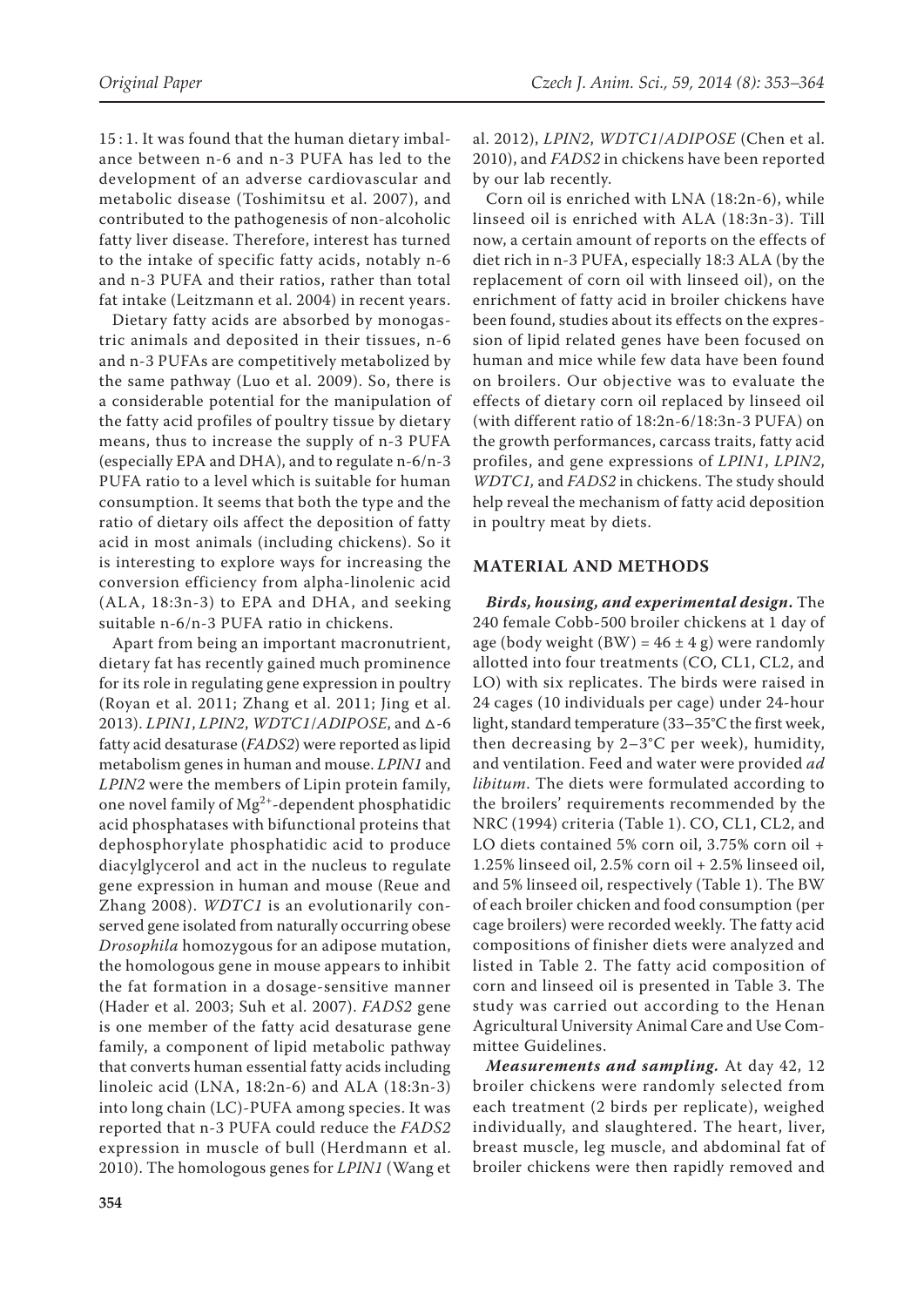15 : 1. It was found that the human dietary imbalance between n-6 and n-3 PUFA has led to the development of an adverse cardiovascular and metabolic disease (Toshimitsu et al. 2007), and contributed to the pathogenesis of non-alcoholic fatty liver disease. Therefore, interest has turned to the intake of specific fatty acids, notably n-6 and n-3 PUFA and their ratios, rather than total fat intake (Leitzmann et al. 2004) in recent years.

Dietary fatty acids are absorbed by monogastric animals and deposited in their tissues, n-6 and n-3 PUFAs are competitively metabolized by the same pathway (Luo et al. 2009). So, there is a considerable potential for the manipulation of the fatty acid profiles of poultry tissue by dietary means, thus to increase the supply of n-3 PUFA (especially EPA and DHA), and to regulate n-6/n-3 PUFA ratio to a level which is suitable for human consumption. It seems that both the type and the ratio of dietary oils affect the deposition of fatty acid in most animals (including chickens). So it is interesting to explore ways for increasing the conversion efficiency from alpha-linolenic acid (ALA, 18:3n-3) to EPA and DHA, and seeking suitable n-6/n-3 PUFA ratio in chickens.

Apart from being an important macronutrient, dietary fat has recently gained much prominence for its role in regulating gene expression in poultry (Royan et al. 2011; Zhang et al. 2011; Jing et al. 2013). *LPIN1*, *LPIN2*, *WDTC1*/*ADIPOSE*, and △-6 fatty acid desaturase (*FADS2*) were reported as lipid metabolism genes in human and mouse. *LPIN1* and *LPIN2* were the members of Lipin protein family, one novel family of  $Mg^{2+}$ -dependent phosphatidic acid phosphatases with bifunctional proteins that dephosphorylate phosphatidic acid to produce diacylglycerol and act in the nucleus to regulate gene expression in human and mouse (Reue and Zhang 2008). *WDTC1* is an evolutionarily conserved gene isolated from naturally occurring obese *Drosophila* homozygous for an adipose mutation, the homologous gene in mouse appears to inhibit the fat formation in a dosage-sensitive manner (Hader et al. 2003; Suh et al. 2007). *FADS2* gene is one member of the fatty acid desaturase gene family, a component of lipid metabolic pathway that converts human essential fatty acids including linoleic acid (LNA, 18:2n-6) and ALA (18:3n-3) into long chain (LC)-PUFA among species. It was reported that n-3 PUFA could reduce the *FADS2* expression in muscle of bull (Herdmann et al. 2010). The homologous genes for *LPIN1* (Wang et

al. 2012), *LPIN2*, *WDTC1*/*ADIPOSE* (Chen et al. 2010), and *FADS2* in chickens have been reported by our lab recently.

Corn oil is enriched with LNA (18:2n-6), while linseed oil is enriched with ALA (18:3n-3). Till now, a certain amount of reports on the effects of diet rich in n-3 PUFA, especially 18:3 ALA (by the replacement of corn oil with linseed oil), on the enrichment of fatty acid in broiler chickens have been found, studies about its effects on the expression of lipid related genes have been focused on human and mice while few data have been found on broilers. Our objective was to evaluate the effects of dietary corn oil replaced by linseed oil (with different ratio of 18:2n-6/18:3n-3 PUFA) on the growth performances, carcass traits, fatty acid profiles, and gene expressions of *LPIN1*, *LPIN2*, *WDTC1,* and *FADS2* in chickens. The study should help reveal the mechanism of fatty acid deposition in poultry meat by diets.

#### **MATERIAL AND METHODS**

*Birds, housing, and experimental design***.** The 240 female Cobb-500 broiler chickens at 1 day of age (body weight  $(BW) = 46 \pm 4$  g) were randomly allotted into four treatments (CO, CL1, CL2, and LO) with six replicates. The birds were raised in 24 cages (10 individuals per cage) under 24-hour light, standard temperature (33–35°C the first week, then decreasing by 2–3°C per week), humidity, and ventilation. Feed and water were provided *ad libitum*. The diets were formulated according to the broilers' requirements recommended by the NRC (1994) criteria (Table 1). CO, CL1, CL2, and LO diets contained 5% corn oil, 3.75% corn oil + 1.25% linseed oil, 2.5% corn oil + 2.5% linseed oil, and 5% linseed oil, respectively (Table 1). The BW of each broiler chicken and food consumption (per cage broilers) were recorded weekly. The fatty acid compositions of finisher diets were analyzed and listed in Table 2. The fatty acid composition of corn and linseed oil is presented in Table 3. The study was carried out according to the Henan Agricultural University Animal Care and Use Committee Guidelines.

*Measurements and sampling.* At day 42, 12 broiler chickens were randomly selected from each treatment (2 birds per replicate), weighed individually, and slaughtered. The heart, liver, breast muscle, leg muscle, and abdominal fat of broiler chickens were then rapidly removed and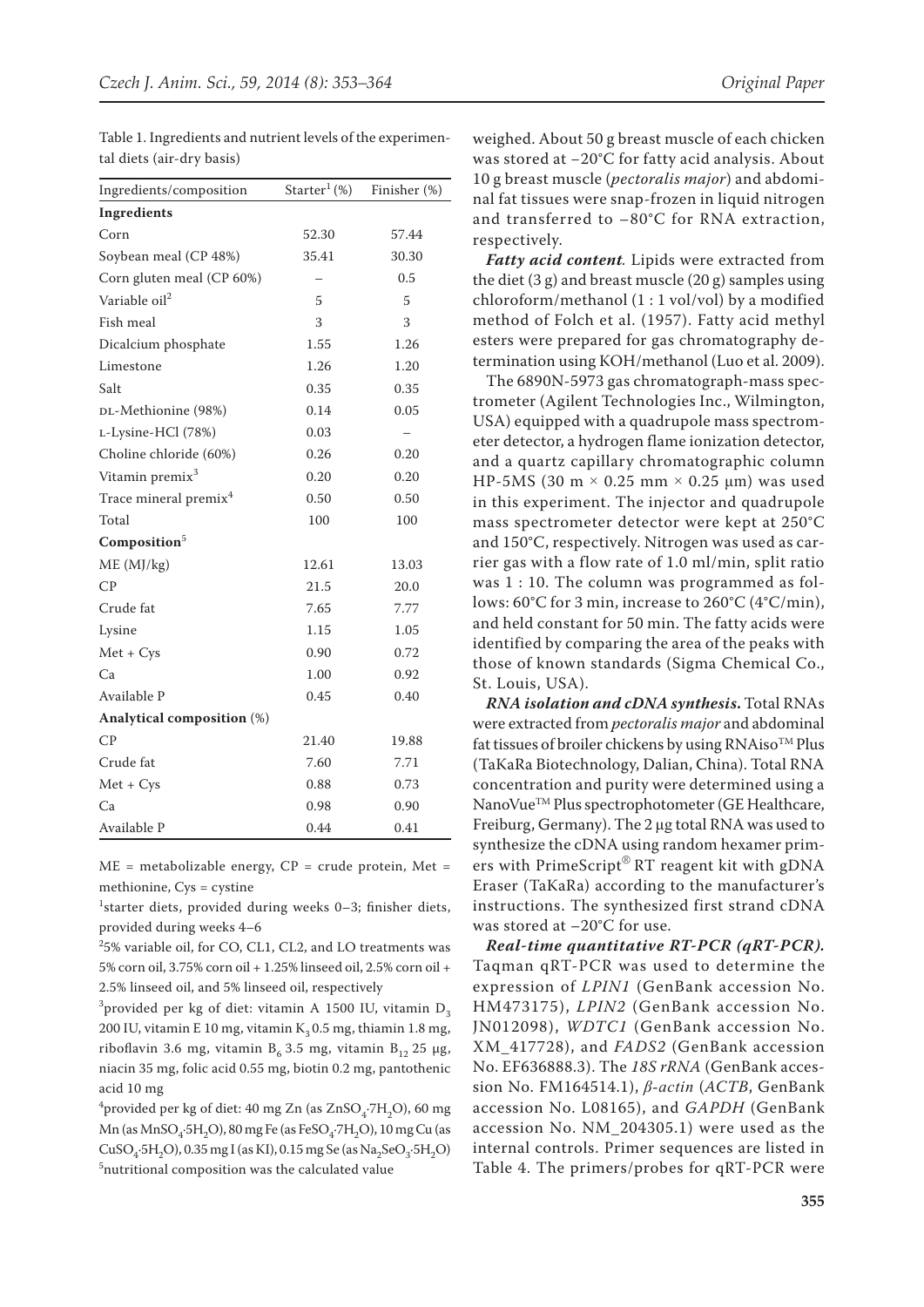| Ingredients/composition           | $\text{Starter}^1 \left( \% \right)$ | Finisher (%) |
|-----------------------------------|--------------------------------------|--------------|
| Ingredients                       |                                      |              |
| Corn                              | 52.30                                | 57.44        |
| Soybean meal (CP 48%)             | 35.41                                | 30.30        |
| Corn gluten meal (CP 60%)         |                                      | 0.5          |
| Variable oil <sup>2</sup>         | 5                                    | 5            |
| Fish meal                         | 3                                    | 3            |
| Dicalcium phosphate               | 1.55                                 | 1.26         |
| Limestone                         | 1.26                                 | 1.20         |
| Salt                              | 0.35                                 | 0.35         |
| DL-Methionine (98%)               | 0.14                                 | 0.05         |
| L-Lysine-HCl (78%)                | 0.03                                 |              |
| Choline chloride (60%)            | 0.26                                 | 0.20         |
| Vitamin premix <sup>3</sup>       | 0.20                                 | 0.20         |
| Trace mineral premix <sup>4</sup> | 0.50                                 | 0.50         |
| Total                             | 100                                  | 100          |
| Composition <sup>5</sup>          |                                      |              |
| ME (MJ/kg)                        | 12.61                                | 13.03        |
| CP                                | 21.5                                 | 20.0         |
| Crude fat                         | 7.65                                 | 7.77         |
| Lysine                            | 1.15                                 | 1.05         |
| $Met + Cys$                       | 0.90                                 | 0.72         |
| Ca                                | 1.00                                 | 0.92         |
| Available P                       | 0.45                                 | 0.40         |
| Analytical composition (%)        |                                      |              |
| CP                                | 21.40                                | 19.88        |
| Crude fat                         | 7.60                                 | 7.71         |
| $Met + Cys$                       | 0.88                                 | 0.73         |
| Ca                                | 0.98                                 | 0.90         |
| Available P                       | 0.44                                 | 0.41         |

Table 1. Ingredients and nutrient levels of the experimental diets (air-dry basis)

 $ME$  = metabolizable energy,  $CP$  = crude protein, Met = methionine, Cys = cystine

<sup>1</sup>starter diets, provided during weeks 0–3; finisher diets, provided during weeks 4–6

2 5% variable oil, for CO, CL1, CL2, and LO treatments was 5% corn oil, 3.75% corn oil + 1.25% linseed oil, 2.5% corn oil + 2.5% linseed oil, and 5% linseed oil, respectively

<sup>3</sup> provided per kg of diet: vitamin A 1500 IU, vitamin  $D_3$ 200 IU, vitamin E 10 mg, vitamin  $K<sub>3</sub> 0.5$  mg, thiamin 1.8 mg, riboflavin 3.6 mg, vitamin  $B_6$  3.5 mg, vitamin  $B_{12}$  25 µg, niacin 35 mg, folic acid 0.55 mg, biotin 0.2 mg, pantothenic acid 10 mg

<sup>4</sup> provided per kg of diet: 40 mg Zn (as  $\text{ZnSO}_4$ :7 $\text{H}_2\text{O}$ ), 60 mg  $Mn$  (as  $MnSO<sub>4</sub>$ -5H<sub>2</sub>O), 80 mg Fe (as FeSO<sub>4</sub>-7H<sub>2</sub>O), 10 mg Cu (as  $CuSO<sub>4</sub>·5H<sub>2</sub>O$ , 0.35 mg I (as KI), 0.15 mg Se (as Na<sub>2</sub>SeO<sub>3</sub>·5H<sub>2</sub>O) 5 nutritional composition was the calculated value

weighed. About 50 g breast muscle of each chicken was stored at −20°C for fatty acid analysis. About 10 g breast muscle (*pectoralis major*) and abdominal fat tissues were snap-frozen in liquid nitrogen and transferred to –80°C for RNA extraction, respectively.

*Fatty acid content.* Lipids were extracted from the diet (3 g) and breast muscle (20 g) samples using chloroform/methanol (1 : 1 vol/vol) by a modified method of Folch et al. (1957). Fatty acid methyl esters were prepared for gas chromatography determination using KOH/methanol (Luo et al. 2009).

The 6890N-5973 gas chromatograph-mass spectrometer (Agilent Technologies Inc., Wilmington, USA) equipped with a quadrupole mass spectrometer detector, a hydrogen flame ionization detector, and a quartz capillary chromatographic column HP-5MS (30 m  $\times$  0.25 mm  $\times$  0.25 µm) was used in this experiment. The injector and quadrupole mass spectrometer detector were kept at 250°C and 150°C, respectively. Nitrogen was used as carrier gas with a flow rate of 1.0 ml/min, split ratio was 1 : 10. The column was programmed as follows: 60°C for 3 min, increase to 260°C (4°C/min), and held constant for 50 min. The fatty acids were identified by comparing the area of the peaks with those of known standards (Sigma Chemical Co., St. Louis, USA).

*RNA isolation and cDNA synthesis***.** Total RNAs were extracted from *pectoralis major* and abdominal fat tissues of broiler chickens by using  $\mathbb{R}N\text{Aiso}^{\text{TM}}$  Plus (TaKaRa Biotechnology, Dalian, China). Total RNA concentration and purity were determined using a NanoVue<sup>™</sup> Plus spectrophotometer (GE Healthcare, Freiburg, Germany). The 2 μg total RNA was used to synthesize the cDNA using random hexamer primers with PrimeScript® RT reagent kit with gDNA Eraser (TaKaRa) according to the manufacturer's instructions. The synthesized first strand cDNA was stored at –20°C for use.

*Real-time quantitative RT-PCR (qRT-PCR).*  Taqman qRT-PCR was used to determine the expression of *LPIN1* (GenBank accession No. HM473175), *LPIN2* (GenBank accession No. JN012098), *WDTC1* (GenBank accession No. XM\_417728), and *FADS2* (GenBank accession No. EF636888.3). The *18S rRNA* (GenBank accession No. FM164514.1), *β-actin* (*ACTB*, GenBank accession No. L08165), and *GAPDH* (GenBank accession No. NM\_204305.1) were used as the internal controls. Primer sequences are listed in Table 4. The primers/probes for qRT-PCR were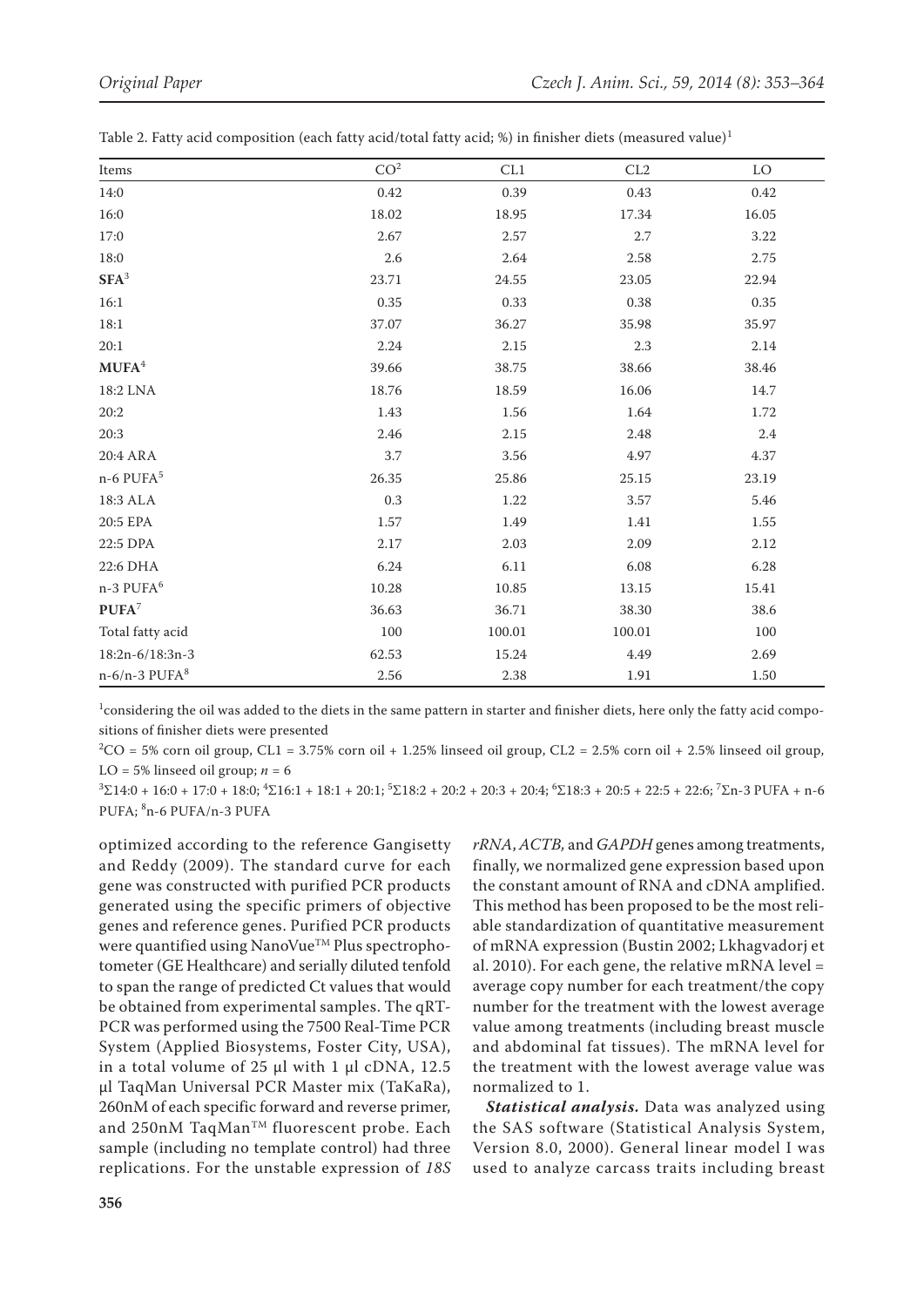| Items                 | CO <sup>2</sup> | CL1       | CL2    | LO       |
|-----------------------|-----------------|-----------|--------|----------|
| 14:0                  | 0.42            | 0.39      | 0.43   | 0.42     |
| 16:0                  | 18.02           | 18.95     | 17.34  | 16.05    |
| 17:0                  | 2.67            | 2.57      | 2.7    | 3.22     |
| 18:0                  | $2.6\,$         | 2.64      | 2.58   | 2.75     |
| $SFA^3$               | 23.71           | $24.55\,$ | 23.05  | 22.94    |
| 16:1                  | 0.35            | 0.33      | 0.38   | 0.35     |
| 18:1                  | 37.07           | 36.27     | 35.98  | 35.97    |
| 20:1                  | 2.24            | 2.15      | 2.3    | 2.14     |
| $\mathbf{MUPA}^4$     | 39.66           | 38.75     | 38.66  | 38.46    |
| 18:2 LNA              | 18.76           | 18.59     | 16.06  | 14.7     |
| 20:2                  | 1.43            | 1.56      | 1.64   | 1.72     |
| 20:3                  | 2.46            | 2.15      | 2.48   | 2.4      |
| 20:4 ARA              | 3.7             | 3.56      | 4.97   | 4.37     |
| n-6 PUFA <sup>5</sup> | 26.35           | 25.86     | 25.15  | 23.19    |
| 18:3 ALA              | $0.3\,$         | 1.22      | 3.57   | 5.46     |
| 20:5 EPA              | 1.57            | 1.49      | 1.41   | $1.55\,$ |
| 22:5 DPA              | 2.17            | 2.03      | 2.09   | 2.12     |
| 22:6 DHA              | 6.24            | 6.11      | 6.08   | 6.28     |
| n-3 PUFA <sup>6</sup> | 10.28           | 10.85     | 13.15  | 15.41    |
| $PUFA^7$              | 36.63           | 36.71     | 38.30  | 38.6     |
| Total fatty acid      | 100             | 100.01    | 100.01 | 100      |
| 18:2n-6/18:3n-3       | 62.53           | 15.24     | 4.49   | 2.69     |
| $n-6/n-3$ PUFA $8$    | 2.56            | 2.38      | 1.91   | 1.50     |

Table 2. Fatty acid composition (each fatty acid/total fatty acid; %) in finisher diets (measured value)<sup>1</sup>

1 considering the oil was added to the diets in the same pattern in starter and finisher diets, here only the fatty acid compositions of finisher diets were presented

 ${}^{2}CO = 5\%$  corn oil group, CL1 = 3.75% corn oil + 1.25% linseed oil group, CL2 = 2.5% corn oil + 2.5% linseed oil group, LO = 5% linseed oil group;  $n = 6$ 

 $3\Sigma14:0 + 16:0 + 17:0 + 18:0; 4\Sigma16:1 + 18:1 + 20:1; 5\Sigma18:2 + 20:2 + 20:3 + 20:4; 6\Sigma18:3 + 20:5 + 22:5 + 22:6; 7\Sigma n - 3$  PUFA + n-6 PUFA; <sup>8</sup>n-6 PUFA/n-3 PUFA

optimized according to the reference Gangisetty and Reddy (2009). The standard curve for each gene was constructed with purified PCR products generated using the specific primers of objective genes and reference genes. Purified PCR products were quantified using NanoVue<sup>TM</sup> Plus spectrophotometer (GE Healthcare) and serially diluted tenfold to span the range of predicted Ct values that would be obtained from experimental samples. The qRT-PCR was performed using the 7500 Real-Time PCR System (Applied Biosystems, Foster City, USA), in a total volume of  $25 \mu l$  with 1  $\mu l$  cDNA, 12.5 μl TaqMan Universal PCR Master mix (TaKaRa), 260nM of each specific forward and reverse primer, and 250nM TaqMan<sup>TM</sup> fluorescent probe. Each sample (including no template control) had three replications. For the unstable expression of *18S* 

*rRNA*, *ACTB,* and *GAPDH* genes among treatments, finally, we normalized gene expression based upon the constant amount of RNA and cDNA amplified. This method has been proposed to be the most reliable standardization of quantitative measurement of mRNA expression (Bustin 2002; Lkhagvadorj et al. 2010). For each gene, the relative mRNA level  $=$ average copy number for each treatment/the copy number for the treatment with the lowest average value among treatments (including breast muscle and abdominal fat tissues). The mRNA level for the treatment with the lowest average value was normalized to 1.

*Statistical analysis.* Data was analyzed using the SAS software (Statistical Analysis System, Version 8.0, 2000). General linear model I was used to analyze carcass traits including breast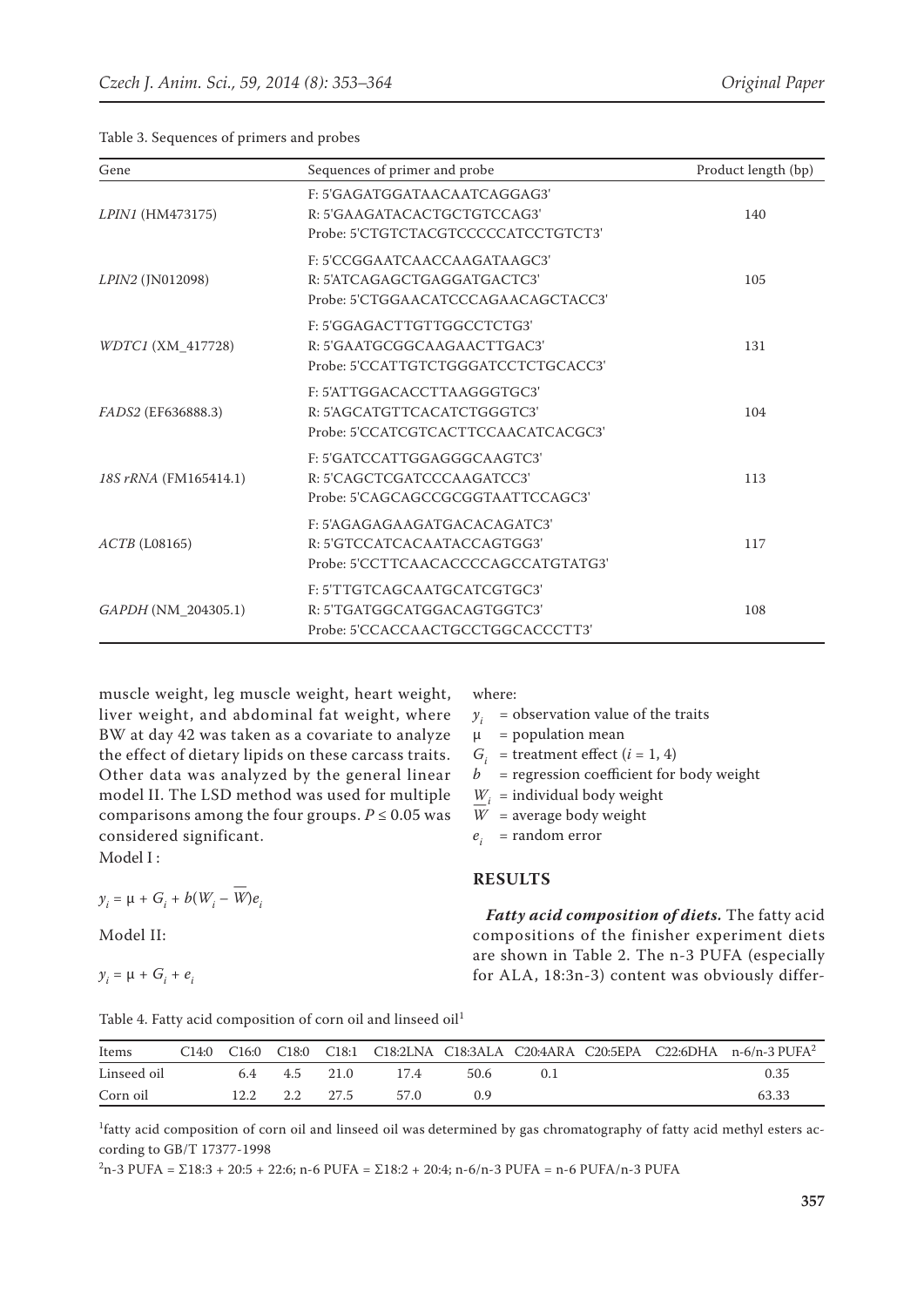Table 3. Sequences of primers and probes

| Gene                     | Sequences of primer and probe                                                                      | Product length (bp) |
|--------------------------|----------------------------------------------------------------------------------------------------|---------------------|
| <i>LPIN1</i> (HM473175)  | F: 5'GAGATGGATAACAATCAGGAG3'<br>R: 5'GAAGATACACTGCTGTCCAG3'<br>Probe: 5'CTGTCTACGTCCCCCATCCTGTCT3' | 140                 |
| LPIN2 (JN012098)         | F: 5'CCGGAATCAACCAAGATAAGC3'<br>R: 5'ATCAGAGCTGAGGATGACTC3'<br>Probe: 5'CTGGAACATCCCAGAACAGCTACC3' | 105                 |
| <i>WDTC1</i> (XM 417728) | F: 5'GGAGACTTGTTGGCCTCTG3'<br>R: 5'GAATGCGGCAAGAACTTGAC3'<br>Probe: 5'CCATTGTCTGGGATCCTCTGCACC3'   | 131                 |
| FADS2 (EF636888.3)       | F: 5'ATTGGACACCTTAAGGGTGC3'<br>R: 5'AGCATGTTCACATCTGGGTC3'<br>Probe: 5'CCATCGTCACTTCCAACATCACGC3'  | 104                 |
| 18S rRNA (FM165414.1)    | F: 5'GATCCATTGGAGGGCAAGTC3'<br>R: 5'CAGCTCGATCCCAAGATCC3'<br>Probe: 5'CAGCAGCCGCGGTAATTCCAGC3'     | 113                 |
| $ACTB$ (L08165)          | F: 5'AGAGAGAAGATGACACAGATC3'<br>R: 5'GTCCATCACAATACCAGTGG3'<br>Probe: 5'CCTTCAACACCCCAGCCATGTATG3' | 117                 |
| GAPDH (NM 204305.1)      | F: 5'TTGTCAGCAATGCATCGTGC3'<br>R: 5'TGATGGCATGGACAGTGGTC3'<br>Probe: 5'CCACCAACTGCCTGGCACCCTT3'    | 108                 |

muscle weight, leg muscle weight, heart weight, liver weight, and abdominal fat weight, where BW at day 42 was taken as a covariate to analyze the effect of dietary lipids on these carcass traits. Other data was analyzed by the general linear model II. The LSD method was used for multiple comparisons among the four groups.  $P \le 0.05$  was considered significant.

Model I :

$$
y_i = \mu + G_i + b(W_i - \overline{W})e_i
$$

Model II:

$$
y_i = \mu + G_i + e_i
$$

where:

 $y_i$  = observation value of the traits

 $\mu$  = population mean

 $G_i$  = treatment effect  $(i = 1, 4)$ 

 $b =$  regression coefficient for body weight

 $W_i$  = individual body weight

 $\overline{W}$  = average body weight

*ei* = random error

#### **RESULTS**

*Fatty acid composition of diets.* The fatty acid compositions of the finisher experiment diets are shown in Table 2. The n-3 PUFA (especially for ALA, 18:3n-3) content was obviously differ-

Table 4. Fatty acid composition of corn oil and linseed oil<sup>1</sup>

| Items       | C14:0 | C <sub>16:0</sub> | C18:0 | C <sub>18:1</sub> |      |      |        |  | C18:2LNA C18:3ALA C20:4ARA C20:5EPA C22:6DHA n-6/n-3 PUFA <sup>2</sup> |
|-------------|-------|-------------------|-------|-------------------|------|------|--------|--|------------------------------------------------------------------------|
| Linseed oil |       | 6.4               | 4.5   | 21.0              | 174  | 50.6 | $($ ). |  | 0.35                                                                   |
| Corn oil    |       | 12.2              | ່າ າ  | 27.5              | 57 Q | 09   |        |  | 63.33                                                                  |

<sup>1</sup>fatty acid composition of corn oil and linseed oil was determined by gas chromatography of fatty acid methyl esters according to GB/T 17377-1998

 $2n-3$  PUFA = Σ18:3 + 20:5 + 22:6; n-6 PUFA = Σ18:2 + 20:4; n-6/n-3 PUFA = n-6 PUFA/n-3 PUFA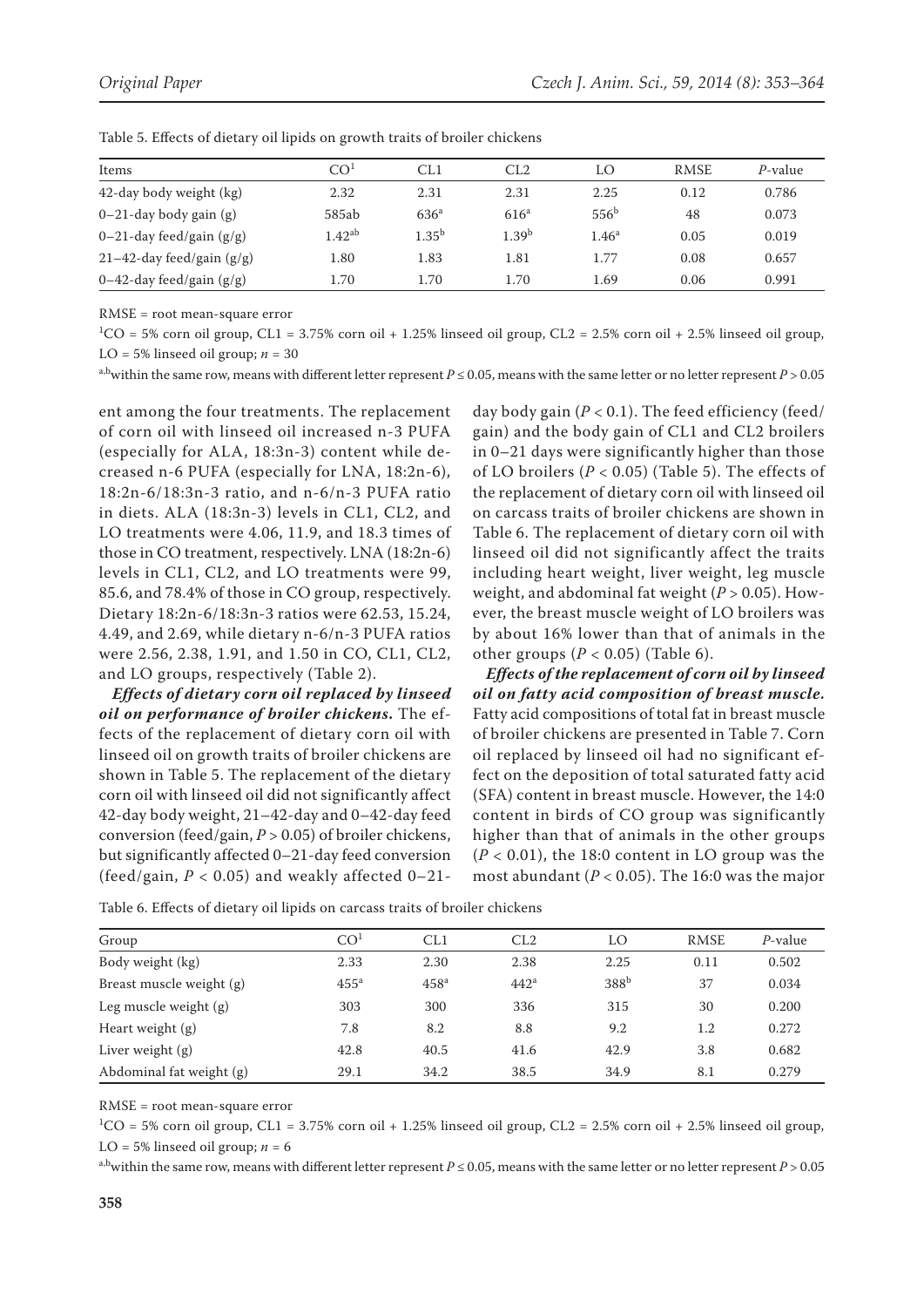| Items                        | CO <sup>1</sup> | CL1              | CL2               | LO               | <b>RMSE</b> | P-value |
|------------------------------|-----------------|------------------|-------------------|------------------|-------------|---------|
| 42-day body weight (kg)      | 2.32            | 2.31             | 2.31              | 2.25             | 0.12        | 0.786   |
| $0-21$ -day body gain (g)    | 585ab           | 636 <sup>a</sup> | 616 <sup>a</sup>  | 556 <sup>b</sup> | 48          | 0.073   |
| 0–21-day feed/gain $(g/g)$   | $1.42^{ab}$     | $1.35^{b}$       | 1.39 <sup>b</sup> | $1.46^a$         | 0.05        | 0.019   |
| $21-42$ -day feed/gain (g/g) | 1.80            | 1.83             | 1.81              | 1.77             | 0.08        | 0.657   |
| 0–42-day feed/gain $(g/g)$   | 1.70            | 1.70             | 1.70              | 1.69             | 0.06        | 0.991   |

Table 5. Effects of dietary oil lipids on growth traits of broiler chickens

RMSE = root mean-square error

 ${}^{1}CO = 5\%$  corn oil group, CL1 = 3.75% corn oil + 1.25% linseed oil group, CL2 = 2.5% corn oil + 2.5% linseed oil group, LO = 5% linseed oil group;  $n = 30$ 

a,bwithin the same row, means with different letter represent  $P \le 0.05$ , means with the same letter or no letter represent  $P > 0.05$ 

ent among the four treatments. The replacement of corn oil with linseed oil increased n-3 PUFA (especially for ALA, 18:3n-3) content while decreased n-6 PUFA (especially for LNA, 18:2n-6), 18:2n-6/18:3n-3 ratio, and n-6/n-3 PUFA ratio in diets. ALA (18:3n-3) levels in CL1, CL2, and LO treatments were 4.06, 11.9, and 18.3 times of those in CO treatment, respectively. LNA (18:2n-6) levels in CL1, CL2, and LO treatments were 99, 85.6, and 78.4% of those in CO group, respectively. Dietary 18:2n-6/18:3n-3 ratios were 62.53, 15.24, 4.49, and 2.69, while dietary n-6/n-3 PUFA ratios were 2.56, 2.38, 1.91, and 1.50 in CO, CL1, CL2, and LO groups, respectively (Table 2).

*Effects of dietary corn oil replaced by linseed oil on performance of broiler chickens***.** The effects of the replacement of dietary corn oil with linseed oil on growth traits of broiler chickens are shown in Table 5. The replacement of the dietary corn oil with linseed oil did not significantly affect 42-day body weight, 21–42-day and 0–42-day feed conversion (feed/gain, *P* > 0.05) of broiler chickens, but significantly affected 0–21-day feed conversion (feed/gain,  $P < 0.05$ ) and weakly affected  $0-21$ -

day body gain (*P* < 0.1). The feed efficiency (feed/ gain) and the body gain of CL1 and CL2 broilers in 0–21 days were significantly higher than those of LO broilers ( $P < 0.05$ ) (Table 5). The effects of the replacement of dietary corn oil with linseed oil on carcass traits of broiler chickens are shown in Table 6. The replacement of dietary corn oil with linseed oil did not significantly affect the traits including heart weight, liver weight, leg muscle weight, and abdominal fat weight (*P* > 0.05). However, the breast muscle weight of LO broilers was by about 16% lower than that of animals in the other groups  $(P < 0.05)$  (Table 6).

*Effects of the replacement of corn oil by linseed oil on fatty acid composition of breast muscle.*  Fatty acid compositions of total fat in breast muscle of broiler chickens are presented in Table 7. Corn oil replaced by linseed oil had no significant effect on the deposition of total saturated fatty acid (SFA) content in breast muscle. However, the 14:0 content in birds of CO group was significantly higher than that of animals in the other groups  $(P < 0.01)$ , the 18:0 content in LO group was the most abundant ( $P < 0.05$ ). The 16:0 was the major

| Group                    | CO <sup>1</sup> | CL1              | CL2              | LO               | <b>RMSE</b> | $P$ -value |
|--------------------------|-----------------|------------------|------------------|------------------|-------------|------------|
| Body weight (kg)         | 2.33            | 2.30             | 2.38             | 2.25             | 0.11        | 0.502      |
| Breast muscle weight (g) | $455^{\circ}$   | 458 <sup>a</sup> | 442 <sup>a</sup> | 388 <sup>b</sup> | 37          | 0.034      |
| Leg muscle weight $(g)$  | 303             | 300              | 336              | 315              | 30          | 0.200      |
| Heart weight $(g)$       | 7.8             | 8.2              | 8.8              | 9.2              | 1.2         | 0.272      |
| Liver weight $(g)$       | 42.8            | 40.5             | 41.6             | 42.9             | 3.8         | 0.682      |
| Abdominal fat weight (g) | 29.1            | 34.2             | 38.5             | 34.9             | 8.1         | 0.279      |

Table 6. Effects of dietary oil lipids on carcass traits of broiler chickens

RMSE = root mean-square error

 ${}^{1}CO = 5\%$  corn oil group, CL1 = 3.75% corn oil + 1.25% linseed oil group, CL2 = 2.5% corn oil + 2.5% linseed oil group, LO = 5% linseed oil group;  $n = 6$ 

a,bwithin the same row, means with different letter represent *P* ≤ 0.05, means with the same letter or no letter represent *P* > 0.05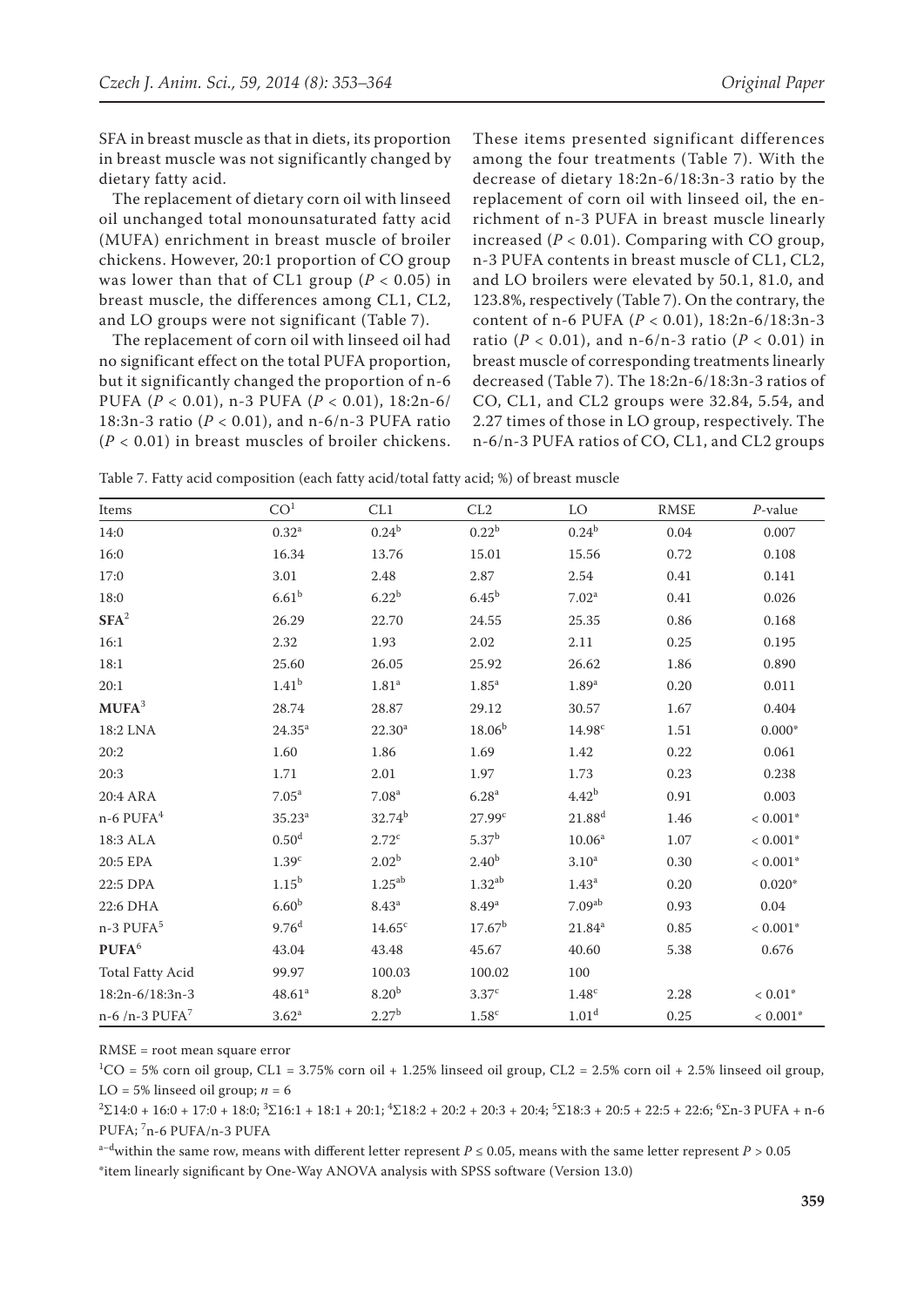SFA in breast muscle as that in diets, its proportion in breast muscle was not significantly changed by dietary fatty acid.

The replacement of dietary corn oil with linseed oil unchanged total monounsaturated fatty acid (MUFA) enrichment in breast muscle of broiler chickens. However, 20:1 proportion of CO group was lower than that of CL1 group ( $P < 0.05$ ) in breast muscle, the differences among CL1, CL2, and LO groups were not significant (Table 7).

The replacement of corn oil with linseed oil had no significant effect on the total PUFA proportion, but it significantly changed the proportion of n-6 PUFA (*P* < 0.01), n-3 PUFA (*P* < 0.01), 18:2n-6/ 18:3n-3 ratio (*P* < 0.01), and n-6/n-3 PUFA ratio (*P* < 0.01) in breast muscles of broiler chickens. These items presented significant differences among the four treatments (Table 7). With the decrease of dietary 18:2n-6/18:3n-3 ratio by the replacement of corn oil with linseed oil, the enrichment of n-3 PUFA in breast muscle linearly increased  $(P < 0.01)$ . Comparing with CO group, n-3 PUFA contents in breast muscle of CL1, CL2, and LO broilers were elevated by 50.1, 81.0, and 123.8%, respectively (Table 7). On the contrary, the content of n-6 PUFA (*P* < 0.01), 18:2n-6/18:3n-3 ratio (*P* < 0.01), and n-6/n-3 ratio (*P* < 0.01) in breast muscle of corresponding treatments linearly decreased (Table 7). The 18:2n-6/18:3n-3 ratios of CO, CL1, and CL2 groups were 32.84, 5.54, and 2.27 times of those in LO group, respectively. The n-6/n-3 PUFA ratios of CO, CL1, and CL2 groups

Table 7. Fatty acid composition (each fatty acid/total fatty acid; %) of breast muscle

| Items                       | CO <sup>1</sup>    | CL1                | CL2                | LO                 | <b>RMSE</b> | $P$ -value               |
|-----------------------------|--------------------|--------------------|--------------------|--------------------|-------------|--------------------------|
| 14:0                        | $0.32^{a}$         | $0.24^{\rm b}$     | 0.22 <sup>b</sup>  | $0.24^{\rm b}$     | 0.04        | 0.007                    |
| 16:0                        | 16.34              | 13.76              | 15.01              | 15.56              | 0.72        | 0.108                    |
| 17:0                        | 3.01               | 2.48               | 2.87               | 2.54               | 0.41        | 0.141                    |
| 18:0                        | 6.61 <sup>b</sup>  | 6.22 <sup>b</sup>  | 6.45 <sup>b</sup>  | 7.02 <sup>a</sup>  | 0.41        | 0.026                    |
| $\mathbf{SFA}^2$            | 26.29              | 22.70              | 24.55              | 25.35              | 0.86        | 0.168                    |
| 16:1                        | 2.32               | 1.93               | 2.02               | 2.11               | 0.25        | 0.195                    |
| 18:1                        | 25.60              | 26.05              | 25.92              | 26.62              | 1.86        | 0.890                    |
| 20:1                        | 1.41 <sup>b</sup>  | 1.81 <sup>a</sup>  | 1.85 <sup>a</sup>  | 1.89 <sup>a</sup>  | 0.20        | 0.011                    |
| $MUFA^3$                    | 28.74              | 28.87              | 29.12              | 30.57              | 1.67        | 0.404                    |
| 18:2 LNA                    | $24.35^{a}$        | $22.30^a$          | $18.06^{b}$        | 14.98 <sup>c</sup> | 1.51        | $0.000*$                 |
| 20:2                        | 1.60               | 1.86               | 1.69               | 1.42               | 0.22        | 0.061                    |
| 20:3                        | 1.71               | 2.01               | 1.97               | 1.73               | 0.23        | 0.238                    |
| 20:4 ARA                    | 7.05 <sup>a</sup>  | 7.08 <sup>a</sup>  | 6.28 <sup>a</sup>  | $4.42^{b}$         | 0.91        | 0.003                    |
| $n-6$ PUFA $4$              | 35.23 <sup>a</sup> | $32.74^{b}$        | 27.99c             | $21.88^{d}$        | 1.46        | $< 0.001*$               |
| 18:3 ALA                    | 0.50 <sup>d</sup>  | $2.72^{\circ}$     | $5.37^{b}$         | 10.06 <sup>a</sup> | 1.07        | $< 0.001\ensuremath{^*}$ |
| 20:5 EPA                    | 1.39 <sup>c</sup>  | 2.02 <sup>b</sup>  | 2.40 <sup>b</sup>  | 3.10 <sup>a</sup>  | 0.30        | $< 0.001*$               |
| 22:5 DPA                    | 1.15 <sup>b</sup>  | $1.25^{ab}$        | $1.32^{ab}$        | 1.43 <sup>a</sup>  | 0.20        | $0.020*$                 |
| 22:6 DHA                    | 6.60 <sup>b</sup>  | 8.43 <sup>a</sup>  | 8.49 <sup>a</sup>  | 7.09 <sup>ab</sup> | 0.93        | 0.04                     |
| n-3 PUFA <sup>5</sup>       | 9.76 <sup>d</sup>  | 14.65 <sup>c</sup> | 17.67 <sup>b</sup> | $21.84^{a}$        | 0.85        | $< 0.001*$               |
| PUFA <sup>6</sup>           | 43.04              | 43.48              | 45.67              | 40.60              | 5.38        | 0.676                    |
| <b>Total Fatty Acid</b>     | 99.97              | 100.03             | 100.02             | 100                |             |                          |
| $18:2n-6/18:3n-3$           | 48.61 <sup>a</sup> | 8.20 <sup>b</sup>  | 3.37 <sup>c</sup>  | 1.48 <sup>c</sup>  | 2.28        | $< 0.01*$                |
| $n-6/n-3$ PUFA <sup>7</sup> | $3.62^{\rm a}$     | $2.27^{b}$         | $1.58^{\rm c}$     | 1.01 <sup>d</sup>  | 0.25        | $< 0.001*$               |

RMSE = root mean square error

 ${}^{1}CO = 5\%$  corn oil group, CL1 = 3.75% corn oil + 1.25% linseed oil group, CL2 = 2.5% corn oil + 2.5% linseed oil group, LO = 5% linseed oil group;  $n = 6$ 

 ${}^{2}\Sigma14:0+16:0+17:0+18:0; {}^{3}\Sigma16:1+18:1+20:1; {}^{4}\Sigma18:2+20:2+20:3+20:4; {}^{5}\Sigma18:3+20:5+22:5+22:6; {}^{6}\Sigma n-3$  PUFA + n-6 PUFA; <sup>7</sup>n-6 PUFA/n-3 PUFA

a–dwithin the same row, means with different letter represent *P* ≤ 0.05, means with the same letter represent *P >* 0.05 \*item linearly significant by One-Way ANOVA analysis with SPSS software (Version 13.0)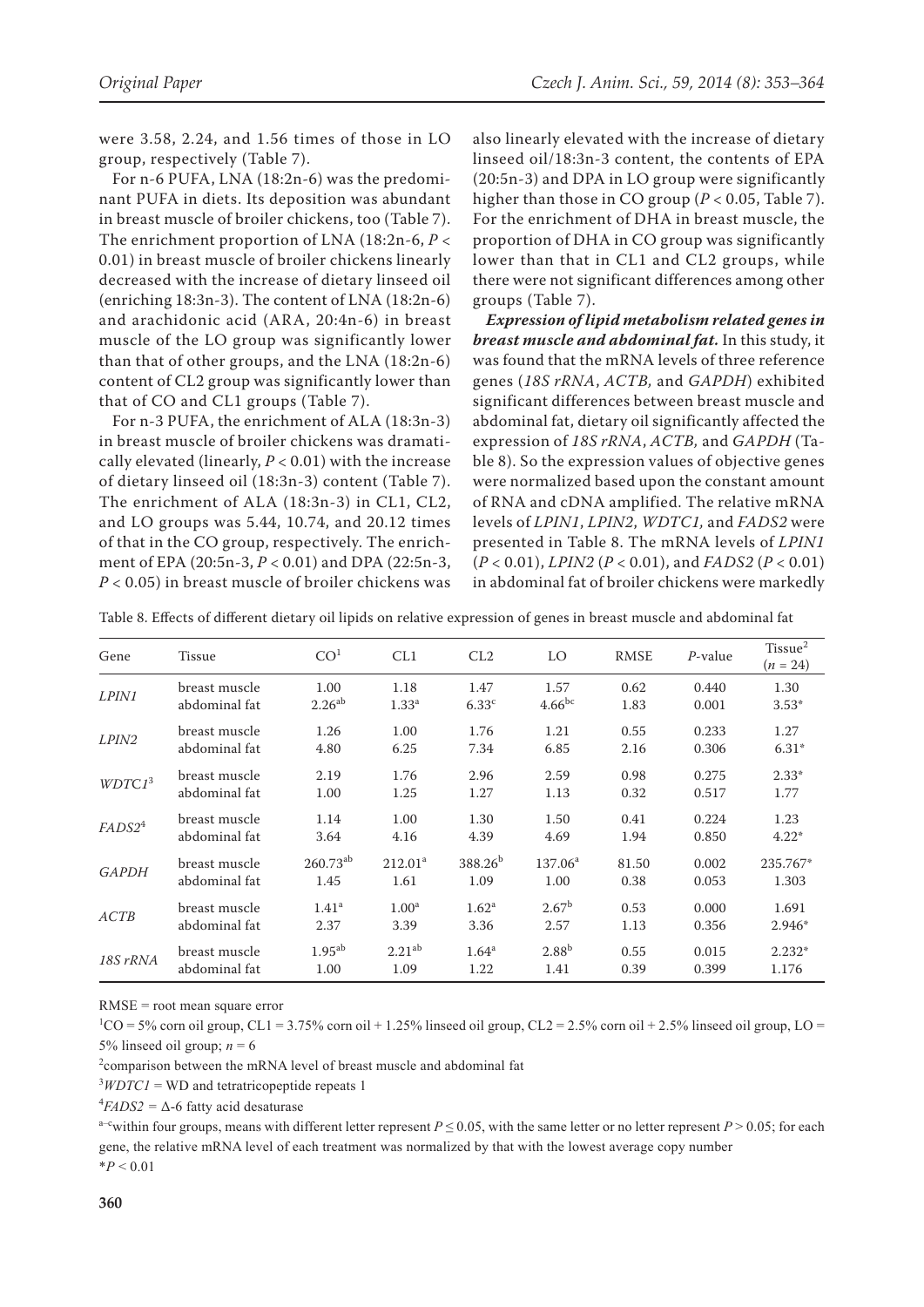were 3.58, 2.24, and 1.56 times of those in LO group, respectively (Table 7).

For n-6 PUFA, LNA (18:2n-6) was the predominant PUFA in diets. Its deposition was abundant in breast muscle of broiler chickens, too (Table 7). The enrichment proportion of LNA (18:2n-6, *P* < 0.01) in breast muscle of broiler chickens linearly decreased with the increase of dietary linseed oil (enriching 18:3n-3). The content of LNA (18:2n-6) and arachidonic acid (ARA, 20:4n-6) in breast muscle of the LO group was significantly lower than that of other groups, and the LNA (18:2n-6) content of CL2 group was significantly lower than that of CO and CL1 groups (Table 7).

For n-3 PUFA, the enrichment of ALA (18:3n-3) in breast muscle of broiler chickens was dramatically elevated (linearly, *P* < 0.01) with the increase of dietary linseed oil (18:3n-3) content (Table 7). The enrichment of ALA (18:3n-3) in CL1, CL2, and LO groups was 5.44, 10.74, and 20.12 times of that in the CO group, respectively. The enrichment of EPA (20:5n-3, *P* < 0.01) and DPA (22:5n-3, *P* < 0.05) in breast muscle of broiler chickens was

also linearly elevated with the increase of dietary linseed oil/18:3n-3 content, the contents of EPA (20:5n-3) and DPA in LO group were significantly higher than those in CO group  $(P < 0.05$ , Table 7). For the enrichment of DHA in breast muscle, the proportion of DHA in CO group was significantly lower than that in CL1 and CL2 groups, while there were not significant differences among other groups (Table 7).

*Expression of lipid metabolism related genes in breast muscle and abdominal fat.* In this study, it was found that the mRNA levels of three reference genes (*18S rRNA*, *ACTB,* and *GAPDH*) exhibited significant differences between breast muscle and abdominal fat, dietary oil significantly affected the expression of *18S rRNA*, *ACTB,* and *GAPDH* (Table 8). So the expression values of objective genes were normalized based upon the constant amount of RNA and cDNA amplified. The relative mRNA levels of *LPIN1*, *LPIN2*, *WDTC1,* and *FADS2* were presented in Table 8. The mRNA levels of *LPIN1*  (*P* < 0.01), *LPIN2* (*P* < 0.01), and *FADS2* (*P* < 0.01) in abdominal fat of broiler chickens were markedly

Table 8. Effects of different dietary oil lipids on relative expression of genes in breast muscle and abdominal fat

| Gene               | Tissue        | CO <sup>1</sup> | CL1                 | CL2               | LO                | <b>RMSE</b> | $P$ -value | Tissue <sup>2</sup><br>$(n = 24)$ |
|--------------------|---------------|-----------------|---------------------|-------------------|-------------------|-------------|------------|-----------------------------------|
| <i>LPIN1</i>       | breast muscle | 1.00            | 1.18                | 1.47              | 1.57              | 0.62        | 0.440      | 1.30                              |
|                    | abdominal fat | $2.26^{ab}$     | 1.33 <sup>a</sup>   | 6.33 <sup>c</sup> | $4.66^{bc}$       | 1.83        | 0.001      | $3.53*$                           |
| <i>LPIN2</i>       | breast muscle | 1.26            | 1.00                | 1.76              | 1.21              | 0.55        | 0.233      | 1.27                              |
|                    | abdominal fat | 4.80            | 6.25                | 7.34              | 6.85              | 2.16        | 0.306      | $6.31*$                           |
| WDTC1 <sup>3</sup> | breast muscle | 2.19            | 1.76                | 2.96              | 2.59              | 0.98        | 0.275      | $2.33*$                           |
|                    | abdominal fat | 1.00            | 1.25                | 1.27              | 1.13              | 0.32        | 0.517      | 1.77                              |
| FADS2 <sup>4</sup> | breast muscle | 1.14            | 1.00                | 1.30              | 1.50              | 0.41        | 0.224      | 1.23                              |
|                    | abdominal fat | 3.64            | 4.16                | 4.39              | 4.69              | 1.94        | 0.850      | $4.22*$                           |
| <b>GAPDH</b>       | breast muscle | $260.73^{ab}$   | 212.01 <sup>a</sup> | $388.26^{b}$      | $137.06^a$        | 81.50       | 0.002      | 235.767*                          |
|                    | abdominal fat | 1.45            | 1.61                | 1.09              | 1.00              | 0.38        | 0.053      | 1.303                             |
| ACTB               | breast muscle | $1.41^{\rm a}$  | 1.00 <sup>a</sup>   | $1.62^{\rm a}$    | 2.67 <sup>b</sup> | 0.53        | 0.000      | 1.691                             |
|                    | abdominal fat | 2.37            | 3.39                | 3.36              | 2.57              | 1.13        | 0.356      | $2.946*$                          |
| 18S rRNA           | breast muscle | $1.95^{ab}$     | 2.21 <sup>ab</sup>  | $1.64^{\rm a}$    | $2.88^{b}$        | 0.55        | 0.015      | $2.232*$                          |
|                    | abdominal fat | 1.00            | 1.09                | 1.22              | 1.41              | 0.39        | 0.399      | 1.176                             |

RMSE = root mean square error

 ${}^{1}CO = 5\%$  corn oil group, CL1 = 3.75% corn oil + 1.25% linseed oil group, CL2 = 2.5% corn oil + 2.5% linseed oil group, LO = 5% linseed oil group;  $n = 6$ 

<sup>2</sup>comparison between the mRNA level of breast muscle and abdominal fat

 $3WDTC1$  = WD and tetratricopeptide repeats 1

 $^{4}FADS2 = \Delta - 6$  fatty acid desaturase

a–cwithin four groups, means with different letter represent  $P \le 0.05$ , with the same letter or no letter represent  $P > 0.05$ ; for each gene, the relative mRNA level of each treatment was normalized by that with the lowest average copy number  $*P < 0.01$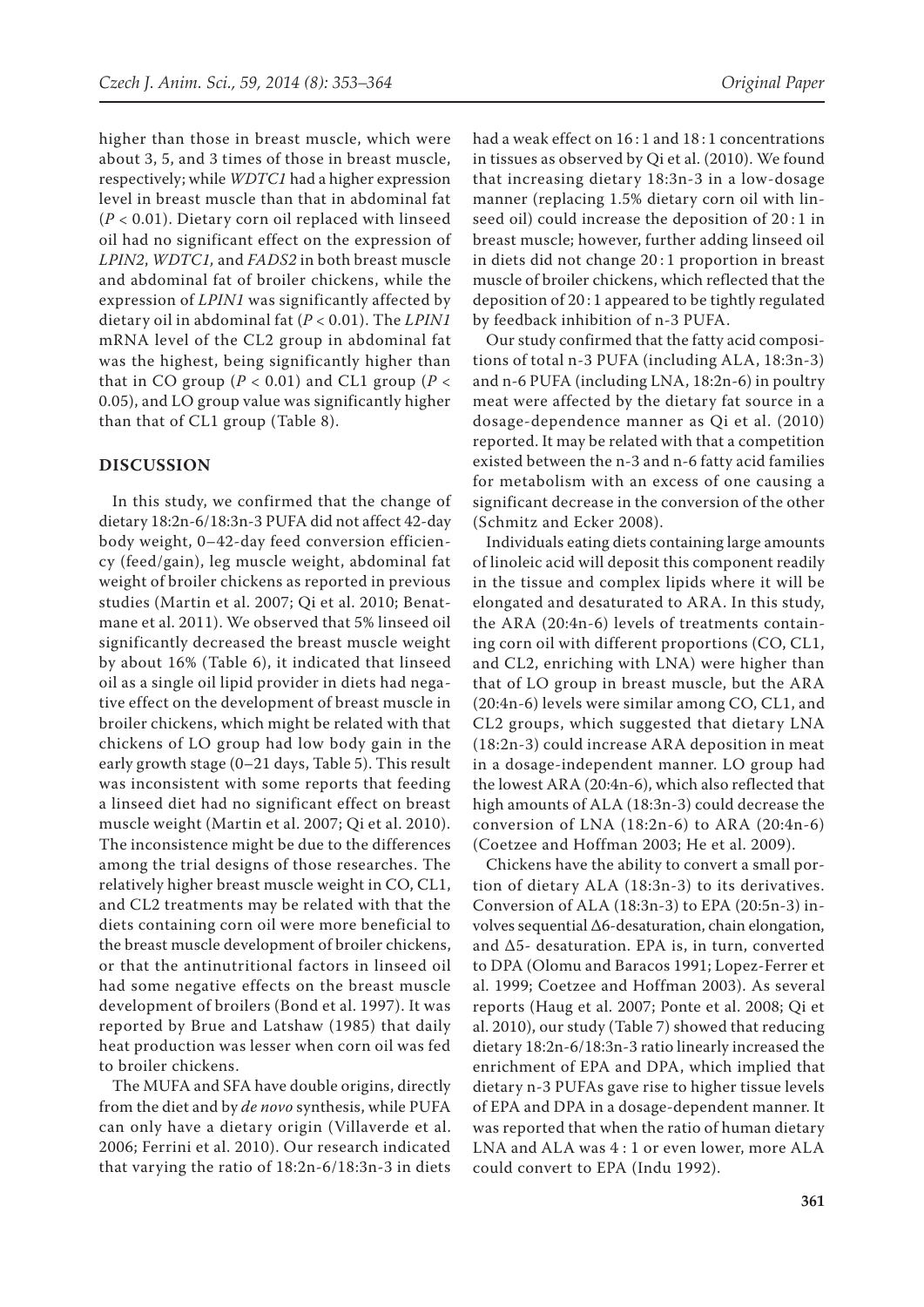higher than those in breast muscle, which were about 3, 5, and 3 times of those in breast muscle, respectively; while *WDTC1* had a higher expression level in breast muscle than that in abdominal fat (*P* < 0.01). Dietary corn oil replaced with linseed oil had no significant effect on the expression of *LPIN2*, *WDTC1,* and *FADS2* in both breast muscle and abdominal fat of broiler chickens, while the expression of *LPIN1* was significantly affected by dietary oil in abdominal fat (*P* < 0.01). The *LPIN1*  mRNA level of the CL2 group in abdominal fat was the highest, being significantly higher than that in CO group ( $P < 0.01$ ) and CL1 group ( $P <$ 0.05), and LO group value was significantly higher than that of CL1 group (Table 8).

#### **DISCUSSION**

In this study, we confirmed that the change of dietary 18:2n-6/18:3n-3 PUFA did not affect 42-day body weight, 0–42-day feed conversion efficiency (feed/gain), leg muscle weight, abdominal fat weight of broiler chickens as reported in previous studies (Martin et al. 2007; Qi et al. 2010; Benatmane et al. 2011). We observed that 5% linseed oil significantly decreased the breast muscle weight by about 16% (Table 6), it indicated that linseed oil as a single oil lipid provider in diets had negative effect on the development of breast muscle in broiler chickens, which might be related with that chickens of LO group had low body gain in the early growth stage (0–21 days, Table 5). This result was inconsistent with some reports that feeding a linseed diet had no significant effect on breast muscle weight (Martin et al. 2007; Qi et al. 2010). The inconsistence might be due to the differences among the trial designs of those researches. The relatively higher breast muscle weight in CO, CL1, and CL2 treatments may be related with that the diets containing corn oil were more beneficial to the breast muscle development of broiler chickens, or that the antinutritional factors in linseed oil had some negative effects on the breast muscle development of broilers (Bond et al. 1997). It was reported by Brue and Latshaw (1985) that daily heat production was lesser when corn oil was fed to broiler chickens.

The MUFA and SFA have double origins, directly from the diet and by *de novo* synthesis, while PUFA can only have a dietary origin (Villaverde et al. 2006; Ferrini et al. 2010). Our research indicated that varying the ratio of 18:2n-6/18:3n-3 in diets had a weak effect on 16:1 and 18:1 concentrations in tissues as observed by Qi et al. (2010). We found that increasing dietary 18:3n-3 in a low-dosage manner (replacing 1.5% dietary corn oil with linseed oil) could increase the deposition of 20 : 1 in breast muscle; however, further adding linseed oil in diets did not change 20 : 1 proportion in breast muscle of broiler chickens, which reflected that the deposition of 20 : 1 appeared to be tightly regulated by feedback inhibition of n-3 PUFA.

Our study confirmed that the fatty acid compositions of total n-3 PUFA (including ALA, 18:3n-3) and n-6 PUFA (including LNA, 18:2n-6) in poultry meat were affected by the dietary fat source in a dosage-dependence manner as Qi et al. (2010) reported. It may be related with that a competition existed between the n-3 and n-6 fatty acid families for metabolism with an excess of one causing a significant decrease in the conversion of the other (Schmitz and Ecker 2008).

Individuals eating diets containing large amounts of linoleic acid will deposit this component readily in the tissue and complex lipids where it will be elongated and desaturated to ARA. In this study, the ARA (20:4n-6) levels of treatments containing corn oil with different proportions (CO, CL1, and CL2, enriching with LNA) were higher than that of LO group in breast muscle, but the ARA (20:4n-6) levels were similar among CO, CL1, and CL2 groups, which suggested that dietary LNA (18:2n-3) could increase ARA deposition in meat in a dosage-independent manner. LO group had the lowest ARA (20:4n-6), which also reflected that high amounts of ALA (18:3n-3) could decrease the conversion of LNA (18:2n-6) to ARA (20:4n-6) (Coetzee and Hoffman 2003; He et al. 2009).

Chickens have the ability to convert a small portion of dietary ALA (18:3n-3) to its derivatives. Conversion of ALA (18:3n-3) to EPA (20:5n-3) involves sequential ∆6-desaturation, chain elongation, and ∆5- desaturation. EPA is, in turn, converted to DPA (Olomu and Baracos 1991; Lopez-Ferrer et al. 1999; Coetzee and Hoffman 2003). As several reports (Haug et al. 2007; Ponte et al. 2008; Qi et al. 2010), our study (Table 7) showed that reducing dietary 18:2n-6/18:3n-3 ratio linearly increased the enrichment of EPA and DPA, which implied that dietary n-3 PUFAs gave rise to higher tissue levels of EPA and DPA in a dosage-dependent manner. It was reported that when the ratio of human dietary LNA and ALA was 4 : 1 or even lower, more ALA could convert to EPA (Indu 1992).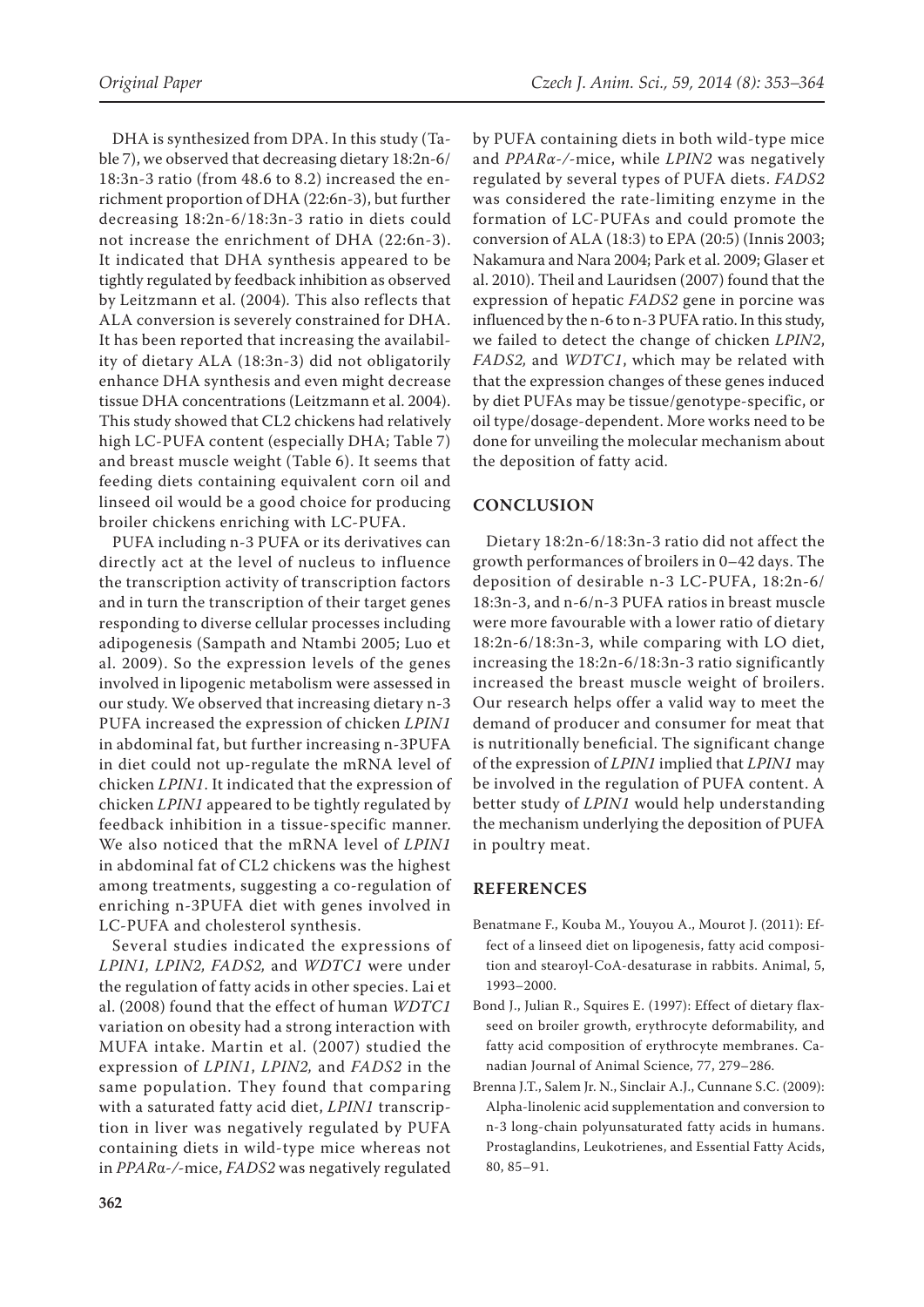DHA is synthesized from DPA. In this study (Table 7), we observed that decreasing dietary 18:2n-6/ 18:3n-3 ratio (from 48.6 to 8.2) increased the enrichment proportion of DHA (22:6n-3), but further decreasing 18:2n-6/18:3n-3 ratio in diets could not increase the enrichment of DHA (22:6n-3). It indicated that DHA synthesis appeared to be tightly regulated by feedback inhibition as observed by Leitzmann et al. (2004)*.* This also reflects that ALA conversion is severely constrained for DHA. It has been reported that increasing the availability of dietary ALA (18:3n-3) did not obligatorily enhance DHA synthesis and even might decrease tissue DHA concentrations (Leitzmann et al. 2004). This study showed that CL2 chickens had relatively high LC-PUFA content (especially DHA; Table 7) and breast muscle weight (Table 6). It seems that feeding diets containing equivalent corn oil and linseed oil would be a good choice for producing broiler chickens enriching with LC-PUFA.

PUFA including n-3 PUFA or its derivatives can directly act at the level of nucleus to influence the transcription activity of transcription factors and in turn the transcription of their target genes responding to diverse cellular processes including adipogenesis (Sampath and Ntambi 2005; Luo et al. 2009). So the expression levels of the genes involved in lipogenic metabolism were assessed in our study. We observed that increasing dietary n-3 PUFA increased the expression of chicken *LPIN1*  in abdominal fat, but further increasing n-3PUFA in diet could not up-regulate the mRNA level of chicken *LPIN1*. It indicated that the expression of chicken *LPIN1* appeared to be tightly regulated by feedback inhibition in a tissue-specific manner. We also noticed that the mRNA level of *LPIN1*  in abdominal fat of CL2 chickens was the highest among treatments, suggesting a co-regulation of enriching n-3PUFA diet with genes involved in LC-PUFA and cholesterol synthesis.

Several studies indicated the expressions of *LPIN1, LPIN2, FADS2,* and *WDTC1* were under the regulation of fatty acids in other species. Lai et al. (2008) found that the effect of human *WDTC1*  variation on obesity had a strong interaction with MUFA intake. Martin et al. (2007) studied the expression of *LPIN1*, *LPIN2,* and *FADS2* in the same population. They found that comparing with a saturated fatty acid diet, *LPIN1* transcription in liver was negatively regulated by PUFA containing diets in wild-type mice whereas not in *PPAR*α*-/-*mice, *FADS2* was negatively regulated by PUFA containing diets in both wild-type mice and *PPARα-/-*mice, while *LPIN2* was negatively regulated by several types of PUFA diets. *FADS2* was considered the rate-limiting enzyme in the formation of LC-PUFAs and could promote the conversion of ALA (18:3) to EPA (20:5) (Innis 2003; Nakamura and Nara 2004; Park et al. 2009; Glaser et al. 2010). Theil and Lauridsen (2007) found that the expression of hepatic *FADS2* gene in porcine was influenced by the n-6 to n-3 PUFA ratio. In this study, we failed to detect the change of chicken *LPIN2*, *FADS2,* and *WDTC1*, which may be related with that the expression changes of these genes induced by diet PUFAs may be tissue/genotype-specific, or oil type/dosage-dependent. More works need to be done for unveiling the molecular mechanism about the deposition of fatty acid.

## **CONCLUSION**

Dietary 18:2n-6/18:3n-3 ratio did not affect the growth performances of broilers in 0–42 days. The deposition of desirable n-3 LC-PUFA, 18:2n-6/ 18:3n-3, and n-6/n-3 PUFA ratios in breast muscle were more favourable with a lower ratio of dietary 18:2n-6/18:3n-3, while comparing with LO diet, increasing the 18:2n-6/18:3n-3 ratio significantly increased the breast muscle weight of broilers. Our research helps offer a valid way to meet the demand of producer and consumer for meat that is nutritionally beneficial. The significant change of the expression of *LPIN1* implied that *LPIN1* may be involved in the regulation of PUFA content. A better study of *LPIN1* would help understanding the mechanism underlying the deposition of PUFA in poultry meat.

## **REFERENCES**

- Benatmane F., Kouba M., Youyou A., Mourot J. (2011): Effect of a linseed diet on lipogenesis, fatty acid composition and stearoyl-CoA-desaturase in rabbits. Animal, 5, 1993–2000.
- Bond J., Julian R., Squires E. (1997): Effect of dietary flaxseed on broiler growth, erythrocyte deformability, and fatty acid composition of erythrocyte membranes. Canadian Journal of Animal Science, 77, 279–286.
- Brenna J.T., Salem Jr. N., Sinclair A.J., Cunnane S.C. (2009): Alpha-linolenic acid supplementation and conversion to n-3 long-chain polyunsaturated fatty acids in humans. Prostaglandins, Leukotrienes, and Essential Fatty Acids, 80, 85–91.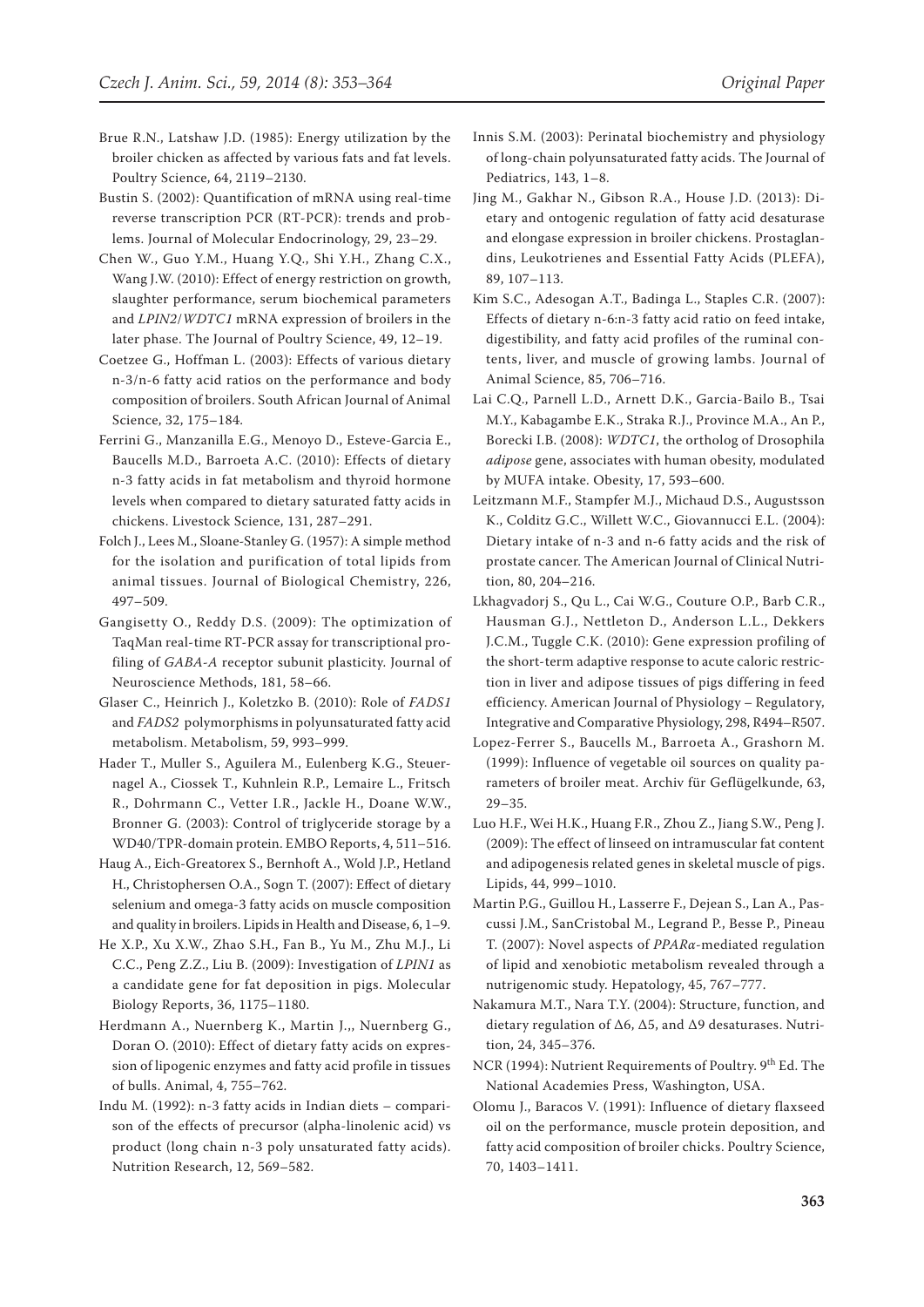- Brue R.N., Latshaw J.D. (1985): Energy utilization by the broiler chicken as affected by various fats and fat levels. Poultry Science, 64, 2119–2130.
- Bustin S. (2002): Quantification of mRNA using real-time reverse transcription PCR (RT-PCR): trends and problems. Journal of Molecular Endocrinology, 29, 23–29.
- Chen W., Guo Y.M., Huang Y.Q., Shi Y.H., Zhang C.X., Wang J.W. (2010): Effect of energy restriction on growth, slaughter performance, serum biochemical parameters and *LPIN2*/*WDTC1* mRNA expression of broilers in the later phase. The Journal of Poultry Science, 49, 12–19.
- Coetzee G., Hoffman L. (2003): Effects of various dietary n-3/n-6 fatty acid ratios on the performance and body composition of broilers. South African Journal of Animal Science, 32, 175–184.
- Ferrini G., Manzanilla E.G., Menoyo D., Esteve-Garcia E., Baucells M.D., Barroeta A.C. (2010): Effects of dietary n-3 fatty acids in fat metabolism and thyroid hormone levels when compared to dietary saturated fatty acids in chickens. Livestock Science, 131, 287–291.
- Folch J., Lees M., Sloane-Stanley G. (1957): A simple method for the isolation and purification of total lipids from animal tissues. Journal of Biological Chemistry, 226, 497–509.
- Gangisetty O., Reddy D.S. (2009): The optimization of TaqMan real-time RT-PCR assay for transcriptional profiling of *GABA-A* receptor subunit plasticity. Journal of Neuroscience Methods, 181, 58–66.
- Glaser C., Heinrich J., Koletzko B. (2010): Role of *FADS1* and *FADS2* polymorphisms in polyunsaturated fatty acid metabolism. Metabolism, 59, 993–999.
- Hader T., Muller S., Aguilera M., Eulenberg K.G., Steuernagel A., Ciossek T., Kuhnlein R.P., Lemaire L., Fritsch R., Dohrmann C., Vetter I.R., Jackle H., Doane W.W., Bronner G. (2003): Control of triglyceride storage by a WD40/TPR-domain protein. EMBO Reports, 4, 511–516.
- Haug A., Eich-Greatorex S., Bernhoft A., Wold J.P., Hetland H., Christophersen O.A., Sogn T. (2007): Effect of dietary selenium and omega-3 fatty acids on muscle composition and quality in broilers. Lipids in Health and Disease, 6, 1–9.
- He X.P., Xu X.W., Zhao S.H., Fan B., Yu M., Zhu M.J., Li C.C., Peng Z.Z., Liu B. (2009): Investigation of *LPIN1* as a candidate gene for fat deposition in pigs. Molecular Biology Reports, 36, 1175–1180.
- Herdmann A., Nuernberg K., Martin J.,, Nuernberg G., Doran O. (2010): Effect of dietary fatty acids on expression of lipogenic enzymes and fatty acid profile in tissues of bulls. Animal, 4, 755–762.
- Indu M. (1992): n-3 fatty acids in Indian diets comparison of the effects of precursor (alpha-linolenic acid) vs product (long chain n-3 poly unsaturated fatty acids). Nutrition Research, 12, 569–582.
- Innis S.M. (2003): Perinatal biochemistry and physiology of long-chain polyunsaturated fatty acids. The Journal of Pediatrics, 143, 1–8.
- Jing M., Gakhar N., Gibson R.A., House J.D. (2013): Dietary and ontogenic regulation of fatty acid desaturase and elongase expression in broiler chickens. Prostaglandins, Leukotrienes and Essential Fatty Acids (PLEFA), 89, 107–113.
- Kim S.C., Adesogan A.T., Badinga L., Staples C.R. (2007): Effects of dietary n-6:n-3 fatty acid ratio on feed intake, digestibility, and fatty acid profiles of the ruminal contents, liver, and muscle of growing lambs. Journal of Animal Science, 85, 706–716.
- Lai C.Q., Parnell L.D., Arnett D.K., Garcia-Bailo B., Tsai M.Y., Kabagambe E.K., Straka R.J., Province M.A., An P., Borecki I.B. (2008): *WDTC1*, the ortholog of Drosophila *adipose* gene, associates with human obesity, modulated by MUFA intake. Obesity, 17, 593–600.
- Leitzmann M.F., Stampfer M.J., Michaud D.S., Augustsson K., Colditz G.C., Willett W.C., Giovannucci E.L. (2004): Dietary intake of n-3 and n-6 fatty acids and the risk of prostate cancer. The American Journal of Clinical Nutrition, 80, 204–216.
- Lkhagvadorj S., Qu L., Cai W.G., Couture O.P., Barb C.R., Hausman G.J., Nettleton D., Anderson L.L., Dekkers J.C.M., Tuggle C.K. (2010): Gene expression profiling of the short-term adaptive response to acute caloric restriction in liver and adipose tissues of pigs differing in feed efficiency. American Journal of Physiology – Regulatory, Integrative and Comparative Physiology, 298, R494–R507.
- Lopez-Ferrer S., Baucells M., Barroeta A., Grashorn M. (1999): Influence of vegetable oil sources on quality parameters of broiler meat. Archiv für Geflügelkunde, 63, 29–35.
- Luo H.F., Wei H.K., Huang F.R., Zhou Z., Jiang S.W., Peng J. (2009): The effect of linseed on intramuscular fat content and adipogenesis related genes in skeletal muscle of pigs. Lipids, 44, 999–1010.
- Martin P.G., Guillou H., Lasserre F., Dejean S., Lan A., Pascussi J.M., SanCristobal M., Legrand P., Besse P., Pineau T. (2007): Novel aspects of *PPARα*-mediated regulation of lipid and xenobiotic metabolism revealed through a nutrigenomic study. Hepatology, 45, 767–777.
- Nakamura M.T., Nara T.Y. (2004): Structure, function, and dietary regulation of Δ6, Δ5, and Δ9 desaturases. Nutrition, 24, 345–376.
- NCR (1994): Nutrient Requirements of Poultry. 9<sup>th</sup> Ed. The National Academies Press, Washington, USA.
- Olomu J., Baracos V. (1991): Influence of dietary flaxseed oil on the performance, muscle protein deposition, and fatty acid composition of broiler chicks. Poultry Science, 70, 1403–1411.